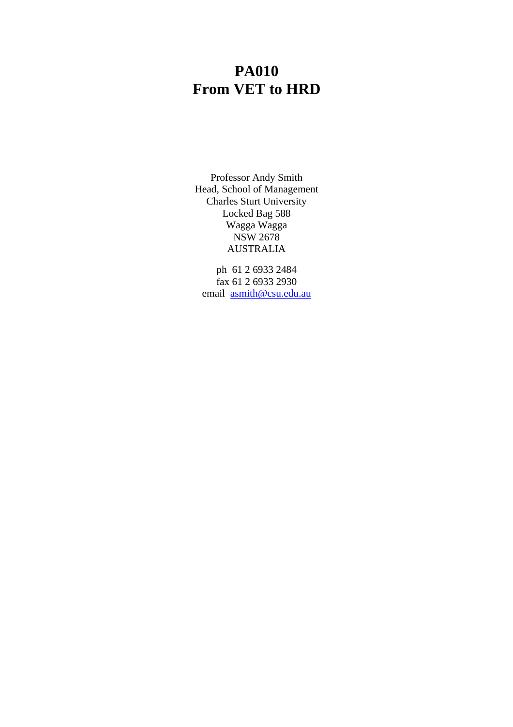# **PA010 From VET to HRD**

Professor Andy Smith Head, School of Management Charles Sturt University Locked Bag 588 Wagga Wagga NSW 2678 AUSTRALIA

ph 61 2 6933 2484 fax 61 2 6933 2930 email asmith@csu.edu.au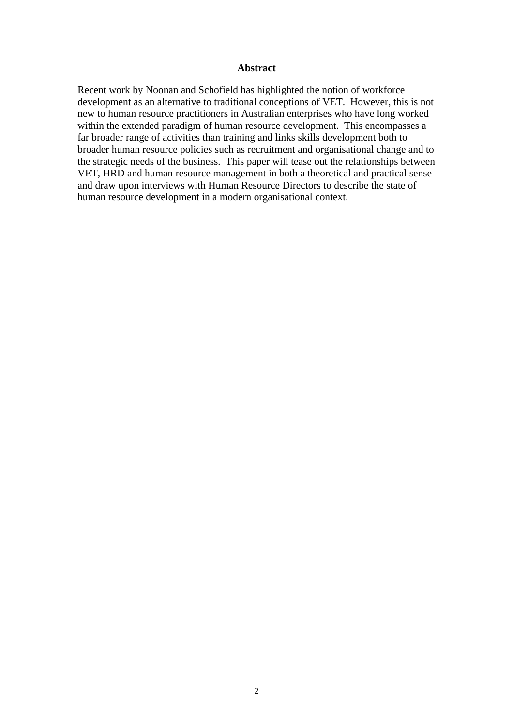#### **Abstract**

Recent work by Noonan and Schofield has highlighted the notion of workforce development as an alternative to traditional conceptions of VET. However, this is not new to human resource practitioners in Australian enterprises who have long worked within the extended paradigm of human resource development. This encompasses a far broader range of activities than training and links skills development both to broader human resource policies such as recruitment and organisational change and to the strategic needs of the business. This paper will tease out the relationships between VET, HRD and human resource management in both a theoretical and practical sense and draw upon interviews with Human Resource Directors to describe the state of human resource development in a modern organisational context.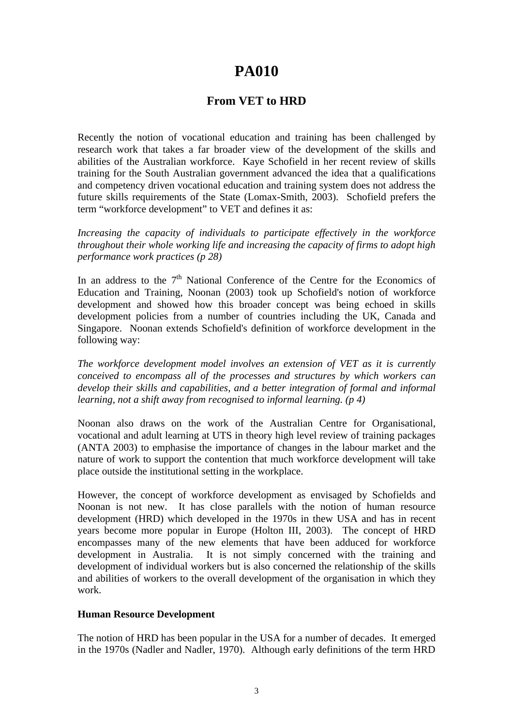## **PA010**

### **From VET to HRD**

Recently the notion of vocational education and training has been challenged by research work that takes a far broader view of the development of the skills and abilities of the Australian workforce. Kaye Schofield in her recent review of skills training for the South Australian government advanced the idea that a qualifications and competency driven vocational education and training system does not address the future skills requirements of the State (Lomax-Smith, 2003). Schofield prefers the term "workforce development" to VET and defines it as:

*Increasing the capacity of individuals to participate effectively in the workforce throughout their whole working life and increasing the capacity of firms to adopt high performance work practices (p 28)*

In an address to the 7<sup>th</sup> National Conference of the Centre for the Economics of Education and Training, Noonan (2003) took up Schofield's notion of workforce development and showed how this broader concept was being echoed in skills development policies from a number of countries including the UK, Canada and Singapore. Noonan extends Schofield's definition of workforce development in the following way:

*The workforce development model involves an extension of VET as it is currently conceived to encompass all of the processes and structures by which workers can develop their skills and capabilities, and a better integration of formal and informal learning, not a shift away from recognised to informal learning. (p 4)*

Noonan also draws on the work of the Australian Centre for Organisational, vocational and adult learning at UTS in theory high level review of training packages (ANTA 2003) to emphasise the importance of changes in the labour market and the nature of work to support the contention that much workforce development will take place outside the institutional setting in the workplace.

However, the concept of workforce development as envisaged by Schofields and Noonan is not new. It has close parallels with the notion of human resource development (HRD) which developed in the 1970s in thew USA and has in recent years become more popular in Europe (Holton III, 2003). The concept of HRD encompasses many of the new elements that have been adduced for workforce development in Australia. It is not simply concerned with the training and development of individual workers but is also concerned the relationship of the skills and abilities of workers to the overall development of the organisation in which they work.

#### **Human Resource Development**

The notion of HRD has been popular in the USA for a number of decades. It emerged in the 1970s (Nadler and Nadler, 1970). Although early definitions of the term HRD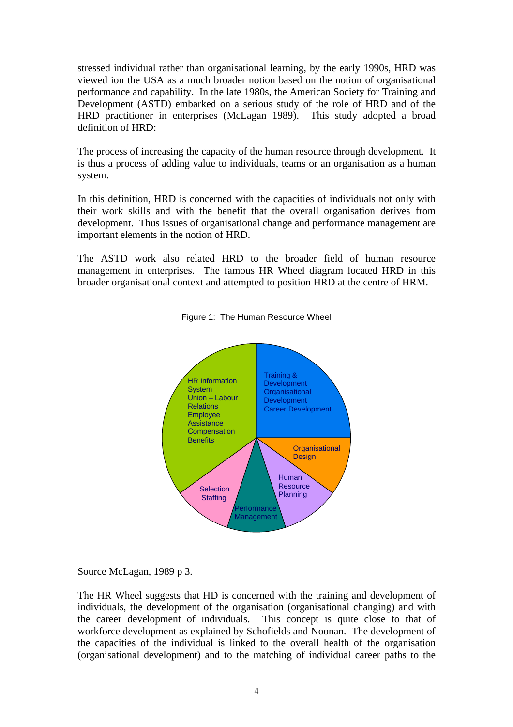stressed individual rather than organisational learning, by the early 1990s, HRD was viewed ion the USA as a much broader notion based on the notion of organisational performance and capability. In the late 1980s, the American Society for Training and Development (ASTD) embarked on a serious study of the role of HRD and of the HRD practitioner in enterprises (McLagan 1989). This study adopted a broad definition of HRD:

The process of increasing the capacity of the human resource through development. It is thus a process of adding value to individuals, teams or an organisation as a human system.

In this definition, HRD is concerned with the capacities of individuals not only with their work skills and with the benefit that the overall organisation derives from development. Thus issues of organisational change and performance management are important elements in the notion of HRD.

The ASTD work also related HRD to the broader field of human resource management in enterprises. The famous HR Wheel diagram located HRD in this broader organisational context and attempted to position HRD at the centre of HRM.



Figure 1: The Human Resource Wheel

Source McLagan, 1989 p 3.

The HR Wheel suggests that HD is concerned with the training and development of individuals, the development of the organisation (organisational changing) and with the career development of individuals. This concept is quite close to that of workforce development as explained by Schofields and Noonan. The development of the capacities of the individual is linked to the overall health of the organisation (organisational development) and to the matching of individual career paths to the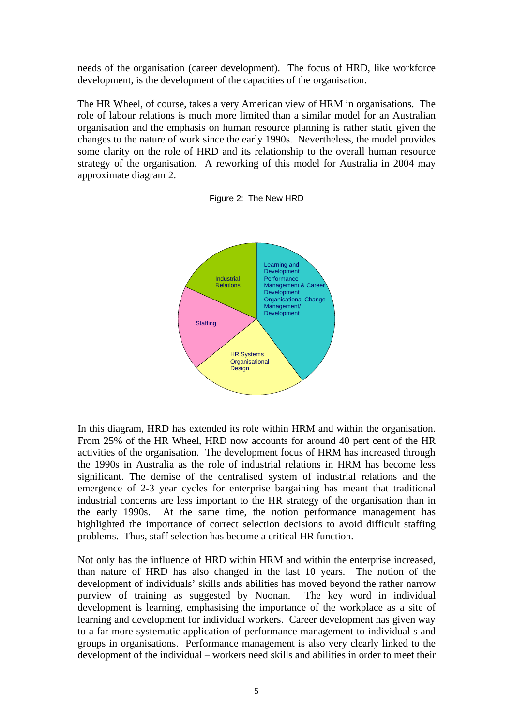needs of the organisation (career development). The focus of HRD, like workforce development, is the development of the capacities of the organisation.

The HR Wheel, of course, takes a very American view of HRM in organisations. The role of labour relations is much more limited than a similar model for an Australian organisation and the emphasis on human resource planning is rather static given the changes to the nature of work since the early 1990s. Nevertheless, the model provides some clarity on the role of HRD and its relationship to the overall human resource strategy of the organisation. A reworking of this model for Australia in 2004 may approximate diagram 2.





In this diagram, HRD has extended its role within HRM and within the organisation. From 25% of the HR Wheel, HRD now accounts for around 40 pert cent of the HR activities of the organisation. The development focus of HRM has increased through the 1990s in Australia as the role of industrial relations in HRM has become less significant. The demise of the centralised system of industrial relations and the emergence of 2-3 year cycles for enterprise bargaining has meant that traditional industrial concerns are less important to the HR strategy of the organisation than in the early 1990s. At the same time, the notion performance management has highlighted the importance of correct selection decisions to avoid difficult staffing problems. Thus, staff selection has become a critical HR function.

Not only has the influence of HRD within HRM and within the enterprise increased, than nature of HRD has also changed in the last 10 years. The notion of the development of individuals' skills ands abilities has moved beyond the rather narrow purview of training as suggested by Noonan. The key word in individual development is learning, emphasising the importance of the workplace as a site of learning and development for individual workers. Career development has given way to a far more systematic application of performance management to individual s and groups in organisations. Performance management is also very clearly linked to the development of the individual – workers need skills and abilities in order to meet their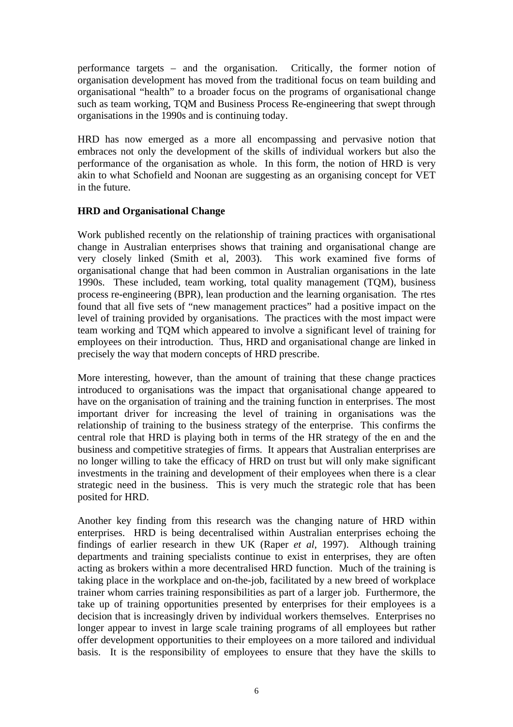performance targets – and the organisation. Critically, the former notion of organisation development has moved from the traditional focus on team building and organisational "health" to a broader focus on the programs of organisational change such as team working, TQM and Business Process Re-engineering that swept through organisations in the 1990s and is continuing today.

HRD has now emerged as a more all encompassing and pervasive notion that embraces not only the development of the skills of individual workers but also the performance of the organisation as whole. In this form, the notion of HRD is very akin to what Schofield and Noonan are suggesting as an organising concept for VET in the future.

#### **HRD and Organisational Change**

Work published recently on the relationship of training practices with organisational change in Australian enterprises shows that training and organisational change are very closely linked (Smith et al, 2003). This work examined five forms of organisational change that had been common in Australian organisations in the late 1990s. These included, team working, total quality management (TQM), business process re-engineering (BPR), lean production and the learning organisation. The rtes found that all five sets of "new management practices" had a positive impact on the level of training provided by organisations. The practices with the most impact were team working and TQM which appeared to involve a significant level of training for employees on their introduction. Thus, HRD and organisational change are linked in precisely the way that modern concepts of HRD prescribe.

More interesting, however, than the amount of training that these change practices introduced to organisations was the impact that organisational change appeared to have on the organisation of training and the training function in enterprises. The most important driver for increasing the level of training in organisations was the relationship of training to the business strategy of the enterprise. This confirms the central role that HRD is playing both in terms of the HR strategy of the en and the business and competitive strategies of firms. It appears that Australian enterprises are no longer willing to take the efficacy of HRD on trust but will only make significant investments in the training and development of their employees when there is a clear strategic need in the business. This is very much the strategic role that has been posited for HRD.

Another key finding from this research was the changing nature of HRD within enterprises. HRD is being decentralised within Australian enterprises echoing the findings of earlier research in thew UK (Raper *et al*, 1997). Although training departments and training specialists continue to exist in enterprises, they are often acting as brokers within a more decentralised HRD function. Much of the training is taking place in the workplace and on-the-job, facilitated by a new breed of workplace trainer whom carries training responsibilities as part of a larger job. Furthermore, the take up of training opportunities presented by enterprises for their employees is a decision that is increasingly driven by individual workers themselves. Enterprises no longer appear to invest in large scale training programs of all employees but rather offer development opportunities to their employees on a more tailored and individual basis. It is the responsibility of employees to ensure that they have the skills to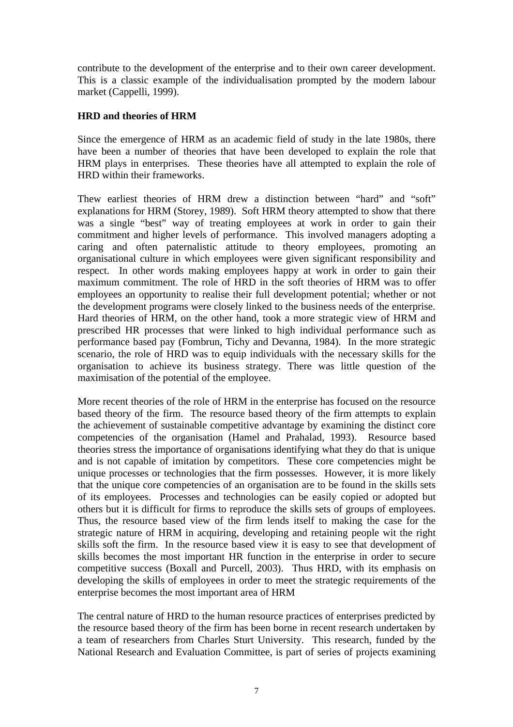contribute to the development of the enterprise and to their own career development. This is a classic example of the individualisation prompted by the modern labour market (Cappelli, 1999).

#### **HRD and theories of HRM**

Since the emergence of HRM as an academic field of study in the late 1980s, there have been a number of theories that have been developed to explain the role that HRM plays in enterprises. These theories have all attempted to explain the role of HRD within their frameworks.

Thew earliest theories of HRM drew a distinction between "hard" and "soft" explanations for HRM (Storey, 1989). Soft HRM theory attempted to show that there was a single "best" way of treating employees at work in order to gain their commitment and higher levels of performance. This involved managers adopting a caring and often paternalistic attitude to theory employees, promoting an organisational culture in which employees were given significant responsibility and respect. In other words making employees happy at work in order to gain their maximum commitment. The role of HRD in the soft theories of HRM was to offer employees an opportunity to realise their full development potential; whether or not the development programs were closely linked to the business needs of the enterprise. Hard theories of HRM, on the other hand, took a more strategic view of HRM and prescribed HR processes that were linked to high individual performance such as performance based pay (Fombrun, Tichy and Devanna, 1984). In the more strategic scenario, the role of HRD was to equip individuals with the necessary skills for the organisation to achieve its business strategy. There was little question of the maximisation of the potential of the employee.

More recent theories of the role of HRM in the enterprise has focused on the resource based theory of the firm. The resource based theory of the firm attempts to explain the achievement of sustainable competitive advantage by examining the distinct core competencies of the organisation (Hamel and Prahalad, 1993). Resource based theories stress the importance of organisations identifying what they do that is unique and is not capable of imitation by competitors. These core competencies might be unique processes or technologies that the firm possesses. However, it is more likely that the unique core competencies of an organisation are to be found in the skills sets of its employees. Processes and technologies can be easily copied or adopted but others but it is difficult for firms to reproduce the skills sets of groups of employees. Thus, the resource based view of the firm lends itself to making the case for the strategic nature of HRM in acquiring, developing and retaining people wit the right skills soft the firm. In the resource based view it is easy to see that development of skills becomes the most important HR function in the enterprise in order to secure competitive success (Boxall and Purcell, 2003). Thus HRD, with its emphasis on developing the skills of employees in order to meet the strategic requirements of the enterprise becomes the most important area of HRM

The central nature of HRD to the human resource practices of enterprises predicted by the resource based theory of the firm has been borne in recent research undertaken by a team of researchers from Charles Sturt University. This research, funded by the National Research and Evaluation Committee, is part of series of projects examining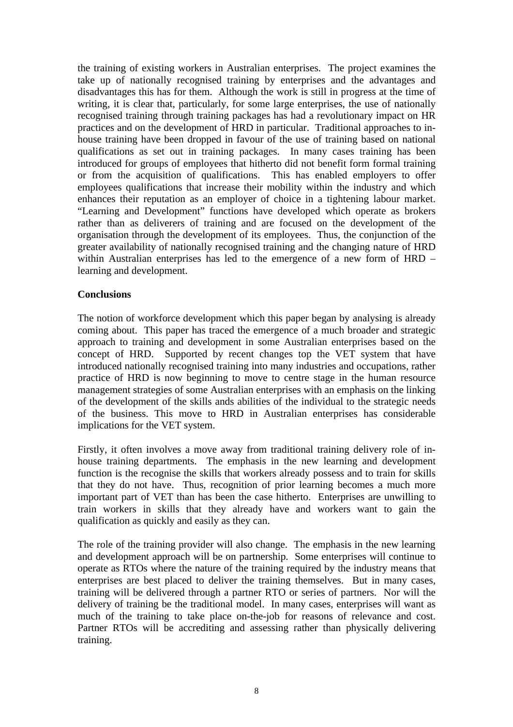the training of existing workers in Australian enterprises. The project examines the take up of nationally recognised training by enterprises and the advantages and disadvantages this has for them. Although the work is still in progress at the time of writing, it is clear that, particularly, for some large enterprises, the use of nationally recognised training through training packages has had a revolutionary impact on HR practices and on the development of HRD in particular. Traditional approaches to inhouse training have been dropped in favour of the use of training based on national qualifications as set out in training packages. In many cases training has been introduced for groups of employees that hitherto did not benefit form formal training or from the acquisition of qualifications. This has enabled employers to offer employees qualifications that increase their mobility within the industry and which enhances their reputation as an employer of choice in a tightening labour market. "Learning and Development" functions have developed which operate as brokers rather than as deliverers of training and are focused on the development of the organisation through the development of its employees. Thus, the conjunction of the greater availability of nationally recognised training and the changing nature of HRD within Australian enterprises has led to the emergence of a new form of HRD – learning and development.

#### **Conclusions**

The notion of workforce development which this paper began by analysing is already coming about. This paper has traced the emergence of a much broader and strategic approach to training and development in some Australian enterprises based on the concept of HRD. Supported by recent changes top the VET system that have introduced nationally recognised training into many industries and occupations, rather practice of HRD is now beginning to move to centre stage in the human resource management strategies of some Australian enterprises with an emphasis on the linking of the development of the skills ands abilities of the individual to the strategic needs of the business. This move to HRD in Australian enterprises has considerable implications for the VET system.

Firstly, it often involves a move away from traditional training delivery role of inhouse training departments. The emphasis in the new learning and development function is the recognise the skills that workers already possess and to train for skills that they do not have. Thus, recognition of prior learning becomes a much more important part of VET than has been the case hitherto. Enterprises are unwilling to train workers in skills that they already have and workers want to gain the qualification as quickly and easily as they can.

The role of the training provider will also change. The emphasis in the new learning and development approach will be on partnership. Some enterprises will continue to operate as RTOs where the nature of the training required by the industry means that enterprises are best placed to deliver the training themselves. But in many cases, training will be delivered through a partner RTO or series of partners. Nor will the delivery of training be the traditional model. In many cases, enterprises will want as much of the training to take place on-the-job for reasons of relevance and cost. Partner RTOs will be accrediting and assessing rather than physically delivering training.